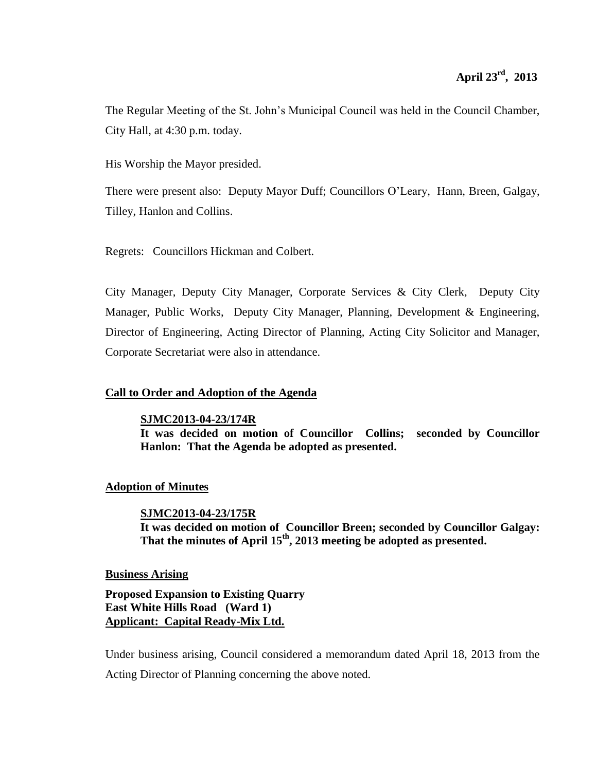The Regular Meeting of the St. John's Municipal Council was held in the Council Chamber, City Hall, at 4:30 p.m. today.

His Worship the Mayor presided.

There were present also: Deputy Mayor Duff; Councillors O'Leary, Hann, Breen, Galgay, Tilley, Hanlon and Collins.

Regrets: Councillors Hickman and Colbert.

City Manager, Deputy City Manager, Corporate Services & City Clerk, Deputy City Manager, Public Works, Deputy City Manager, Planning, Development & Engineering, Director of Engineering, Acting Director of Planning, Acting City Solicitor and Manager, Corporate Secretariat were also in attendance.

# **Call to Order and Adoption of the Agenda**

**SJMC2013-04-23/174R**

**It was decided on motion of Councillor Collins; seconded by Councillor Hanlon: That the Agenda be adopted as presented.**

## **Adoption of Minutes**

**SJMC2013-04-23/175R It was decided on motion of Councillor Breen; seconded by Councillor Galgay: That the minutes of April 15th , 2013 meeting be adopted as presented.**

## **Business Arising**

**Proposed Expansion to Existing Quarry East White Hills Road (Ward 1) Applicant: Capital Ready-Mix Ltd.**

Under business arising, Council considered a memorandum dated April 18, 2013 from the Acting Director of Planning concerning the above noted.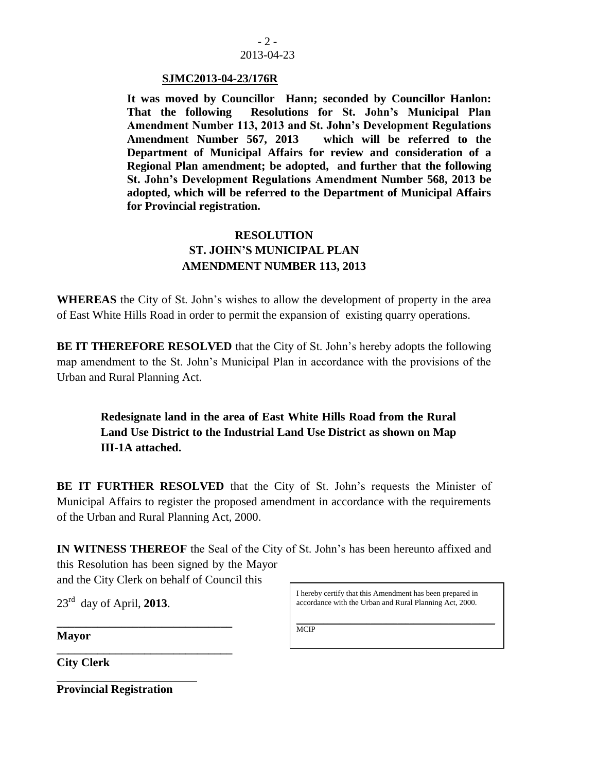

#### **SJMC2013-04-23/176R**

**It was moved by Councillor Hann; seconded by Councillor Hanlon: That the following Resolutions for St. John's Municipal Plan Amendment Number 113, 2013 and St. John's Development Regulations Amendment Number 567, 2013 which will be referred to the Department of Municipal Affairs for review and consideration of a Regional Plan amendment; be adopted, and further that the following St. John's Development Regulations Amendment Number 568, 2013 be adopted, which will be referred to the Department of Municipal Affairs for Provincial registration.**

# **RESOLUTION ST. JOHN'S MUNICIPAL PLAN AMENDMENT NUMBER 113, 2013**

**WHEREAS** the City of St. John's wishes to allow the development of property in the area of East White Hills Road in order to permit the expansion of existing quarry operations.

**BE IT THEREFORE RESOLVED** that the City of St. John's hereby adopts the following map amendment to the St. John's Municipal Plan in accordance with the provisions of the Urban and Rural Planning Act.

**Redesignate land in the area of East White Hills Road from the Rural Land Use District to the Industrial Land Use District as shown on Map III-1A attached.**

**BE IT FURTHER RESOLVED** that the City of St. John's requests the Minister of Municipal Affairs to register the proposed amendment in accordance with the requirements of the Urban and Rural Planning Act, 2000.

**IN WITNESS THEREOF** the Seal of the City of St. John's has been hereunto affixed and this Resolution has been signed by the Mayor

and the City Clerk on behalf of Council this

**\_\_\_\_\_\_\_\_\_\_\_\_\_\_\_\_\_\_\_\_\_\_\_\_\_\_\_\_\_\_**

**\_\_\_\_\_\_\_\_\_\_\_\_\_\_\_\_\_\_\_\_\_\_\_\_\_\_\_\_\_\_** 

23rd day of April, **2013**.

I hereby certify that this Amendment has been prepared in accordance with the Urban and Rural Planning Act, 2000.

**Mayor**

**City Clerk**

**Provincial Registration**

\_\_\_\_\_\_\_\_\_\_\_\_\_\_\_\_\_\_\_\_\_\_\_\_\_\_\_\_\_\_\_\_\_\_\_\_\_\_\_\_\_\_\_\_\_\_\_\_\_\_\_ **MCIP**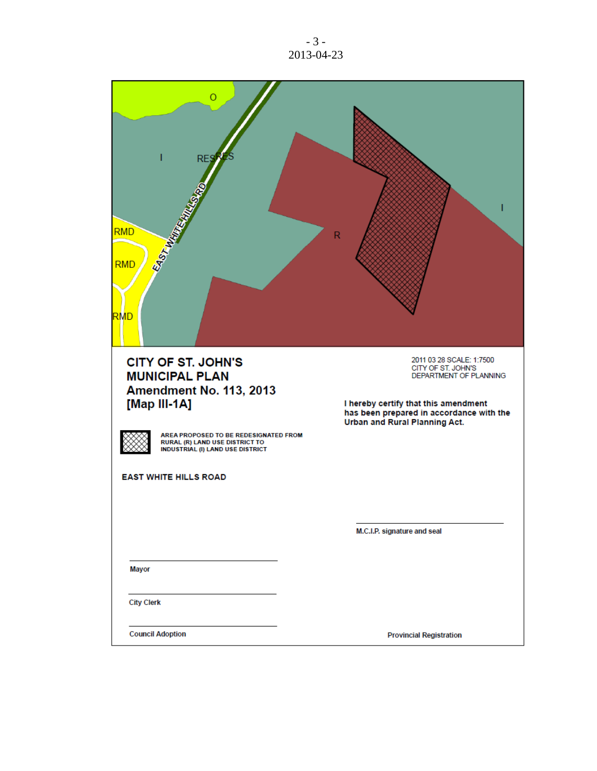- 3 - 2013-04-23

| Ω<br><b>RES</b><br>EAST WATER<br><b>RMD</b><br><b>RMD</b><br>RMD                                                          | $\mathsf R$                                                                      |
|---------------------------------------------------------------------------------------------------------------------------|----------------------------------------------------------------------------------|
| <b>CITY OF ST. JOHN'S</b>                                                                                                 | 2011 03 28 SCALE: 1:7500                                                         |
| <b>MUNICIPAL PLAN</b>                                                                                                     | CITY OF ST. JOHN'S<br>DEPARTMENT OF PLANNING                                     |
| Amendment No. 113, 2013                                                                                                   |                                                                                  |
| [Map III-1A]                                                                                                              | I hereby certify that this amendment<br>has been prepared in accordance with the |
| AREA PROPOSED TO BE REDESIGNATED FROM<br><b>RURAL (R) LAND USE DISTRICT TO</b><br><b>INDUSTRIAL (I) LAND USE DISTRICT</b> | Urban and Rural Planning Act.                                                    |
| <b>EAST WHITE HILLS ROAD</b>                                                                                              |                                                                                  |
|                                                                                                                           |                                                                                  |
|                                                                                                                           |                                                                                  |
|                                                                                                                           | M.C.I.P. signature and seal                                                      |
|                                                                                                                           |                                                                                  |
| <b>Mayor</b>                                                                                                              |                                                                                  |
| <b>City Clerk</b>                                                                                                         |                                                                                  |
| <b>Council Adoption</b>                                                                                                   | <b>Provincial Registration</b>                                                   |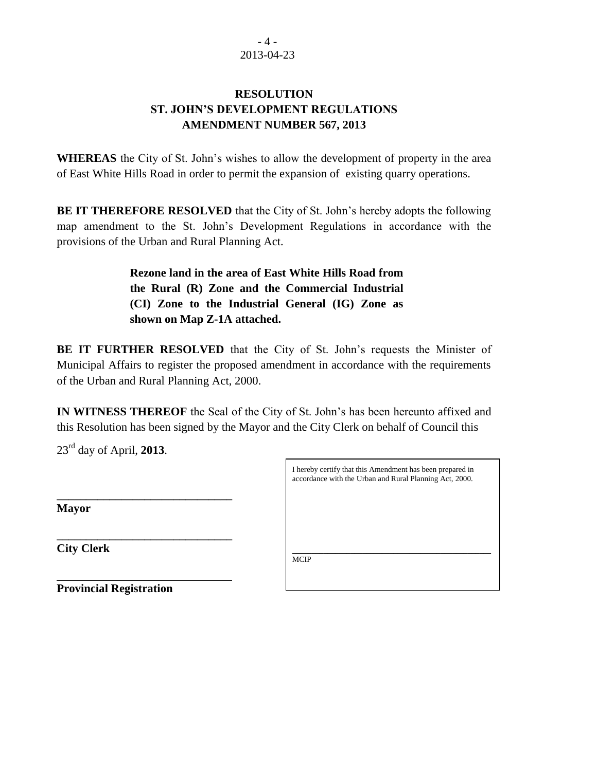## $-4-$ 2013-04-23

# **RESOLUTION ST. JOHN'S DEVELOPMENT REGULATIONS AMENDMENT NUMBER 567, 2013**

**WHEREAS** the City of St. John's wishes to allow the development of property in the area of East White Hills Road in order to permit the expansion of existing quarry operations.

**BE IT THEREFORE RESOLVED** that the City of St. John's hereby adopts the following map amendment to the St. John's Development Regulations in accordance with the provisions of the Urban and Rural Planning Act.

> **Rezone land in the area of East White Hills Road from the Rural (R) Zone and the Commercial Industrial (CI) Zone to the Industrial General (IG) Zone as shown on Map Z-1A attached.**

**BE IT FURTHER RESOLVED** that the City of St. John's requests the Minister of Municipal Affairs to register the proposed amendment in accordance with the requirements of the Urban and Rural Planning Act, 2000.

**IN WITNESS THEREOF** the Seal of the City of St. John's has been hereunto affixed and this Resolution has been signed by the Mayor and the City Clerk on behalf of Council this

23rd day of April, **2013**.

**\_\_\_\_\_\_\_\_\_\_\_\_\_\_\_\_\_\_\_\_\_\_\_\_\_\_\_\_\_\_**

**\_\_\_\_\_\_\_\_\_\_\_\_\_\_\_\_\_\_\_\_\_\_\_\_\_\_\_\_\_\_** 

**Mayor**

**City Clerk**

I hereby certify that this Amendment has been prepared in accordance with the Urban and Rural Planning Act, 2000.

\_\_\_\_\_\_\_\_\_\_\_\_\_\_\_\_\_\_\_\_\_\_\_\_\_\_\_\_\_\_\_\_\_\_\_\_\_\_\_\_\_\_\_\_\_\_\_\_\_\_\_ MCIP

**Provincial Registration**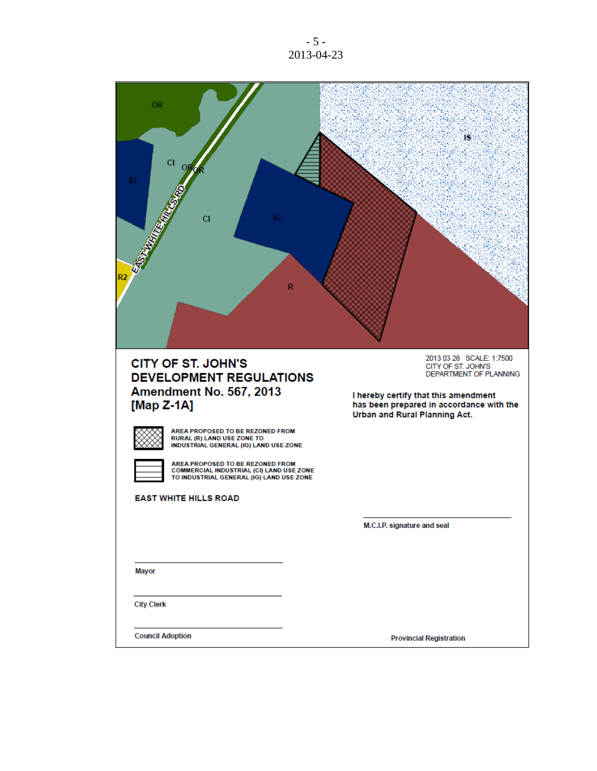- 5 - 2013-04-23

۰.

| <b>OR</b><br>cı<br>IG<br>СI<br>32<br>R                                                                                          | IS                                                                                                                                                           |
|---------------------------------------------------------------------------------------------------------------------------------|--------------------------------------------------------------------------------------------------------------------------------------------------------------|
| <b>CITY OF ST. JOHN'S</b><br><b>DEVELOPMENT REGULATIONS</b><br><b>Amendment No. 567, 2013</b><br>[Map $Z-1A$ ]                  | 2013 03 28 SCALE: 1:7500<br>CITY OF ST. JOHN'S<br>DEPARTMENT OF PLANNING<br>I hereby certify that this amendment<br>has been prepared in accordance with the |
| AREA PROPOSED TO BE REZONED FROM                                                                                                | Urban and Rural Planning Act.                                                                                                                                |
| RURAL (R) LAND USE ZONE TO<br>INDUSTRIAL GENERAL (IG) LAND USE ZONE                                                             |                                                                                                                                                              |
| AREA PROPOSED TO BE REZONED FROM<br><b>COMMERCIAL INDUSTRIAL (CI) LAND USE ZONE</b><br>TO INDUSTRIAL GENERAL (IG) LAND USE ZONE |                                                                                                                                                              |
| <b>EAST WHITE HILLS ROAD</b>                                                                                                    |                                                                                                                                                              |
|                                                                                                                                 | M.C.I.P. signature and seal                                                                                                                                  |
|                                                                                                                                 |                                                                                                                                                              |
| <b>Mayor</b>                                                                                                                    |                                                                                                                                                              |
| <b>City Clerk</b>                                                                                                               |                                                                                                                                                              |
| <b>Council Adoption</b>                                                                                                         | <b>Provincial Registration</b>                                                                                                                               |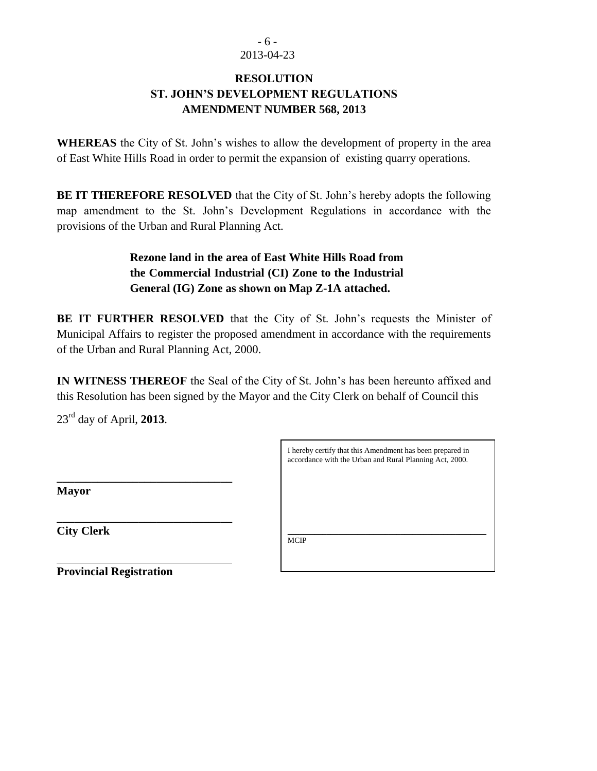# - 6 - 2013-04-23

# **RESOLUTION ST. JOHN'S DEVELOPMENT REGULATIONS AMENDMENT NUMBER 568, 2013**

**WHEREAS** the City of St. John's wishes to allow the development of property in the area of East White Hills Road in order to permit the expansion of existing quarry operations.

**BE IT THEREFORE RESOLVED** that the City of St. John's hereby adopts the following map amendment to the St. John's Development Regulations in accordance with the provisions of the Urban and Rural Planning Act.

> **Rezone land in the area of East White Hills Road from the Commercial Industrial (CI) Zone to the Industrial General (IG) Zone as shown on Map Z-1A attached.**

**BE IT FURTHER RESOLVED** that the City of St. John's requests the Minister of Municipal Affairs to register the proposed amendment in accordance with the requirements of the Urban and Rural Planning Act, 2000.

**IN WITNESS THEREOF** the Seal of the City of St. John's has been hereunto affixed and this Resolution has been signed by the Mayor and the City Clerk on behalf of Council this

23rd day of April, **2013**.

**\_\_\_\_\_\_\_\_\_\_\_\_\_\_\_\_\_\_\_\_\_\_\_\_\_\_\_\_\_\_**

**\_\_\_\_\_\_\_\_\_\_\_\_\_\_\_\_\_\_\_\_\_\_\_\_\_\_\_\_\_\_** 

|             |  | I hereby certify that this Amendment has been prepared in<br>accordance with the Urban and Rural Planning Act, 2000. |  |
|-------------|--|----------------------------------------------------------------------------------------------------------------------|--|
|             |  |                                                                                                                      |  |
|             |  |                                                                                                                      |  |
|             |  |                                                                                                                      |  |
|             |  |                                                                                                                      |  |
| <b>MCIP</b> |  |                                                                                                                      |  |
|             |  |                                                                                                                      |  |

**Mayor**

**City Clerk**

**Provincial Registration**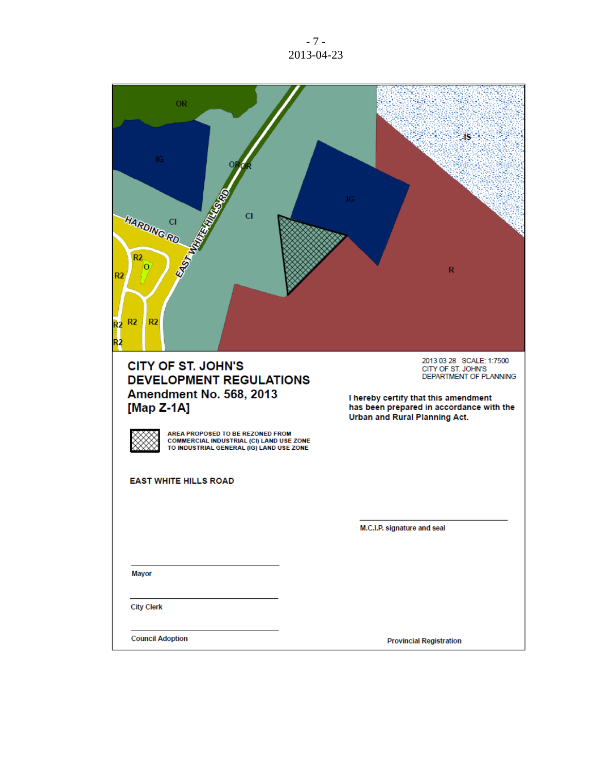- 7 - 2013-04-23

| <b>OR</b><br>IG<br><b>CI</b><br>HARDING RD<br>EASTWAY<br>R <sub>2</sub><br>о<br>R <sub>2</sub><br>R <sub>2</sub><br>2<br>12     | IG<br>$\mathbb{R}$                                                                                               |
|---------------------------------------------------------------------------------------------------------------------------------|------------------------------------------------------------------------------------------------------------------|
| <b>CITY OF ST. JOHN'S</b><br><b>DEVELOPMENT REGULATIONS</b><br><b>Amendment No. 568, 2013</b>                                   | 2013 03 28 SCALE: 1:7500<br>CITY OF ST. JOHN'S<br>DEPARTMENT OF PLANNING<br>I hereby certify that this amendment |
| [Map $Z-1A$ ]                                                                                                                   | has been prepared in accordance with the<br>Urban and Rural Planning Act.                                        |
| AREA PROPOSED TO BE REZONED FROM<br><b>COMMERCIAL INDUSTRIAL (CI) LAND USE ZONE</b><br>TO INDUSTRIAL GENERAL (IG) LAND USE ZONE |                                                                                                                  |
| <b>EAST WHITE HILLS ROAD</b>                                                                                                    |                                                                                                                  |
|                                                                                                                                 |                                                                                                                  |
|                                                                                                                                 | M.C.I.P. signature and seal                                                                                      |
|                                                                                                                                 |                                                                                                                  |
| <b>Mayor</b>                                                                                                                    |                                                                                                                  |
| <b>City Clerk</b>                                                                                                               |                                                                                                                  |
| <b>Council Adoption</b>                                                                                                         | <b>Provincial Registration</b>                                                                                   |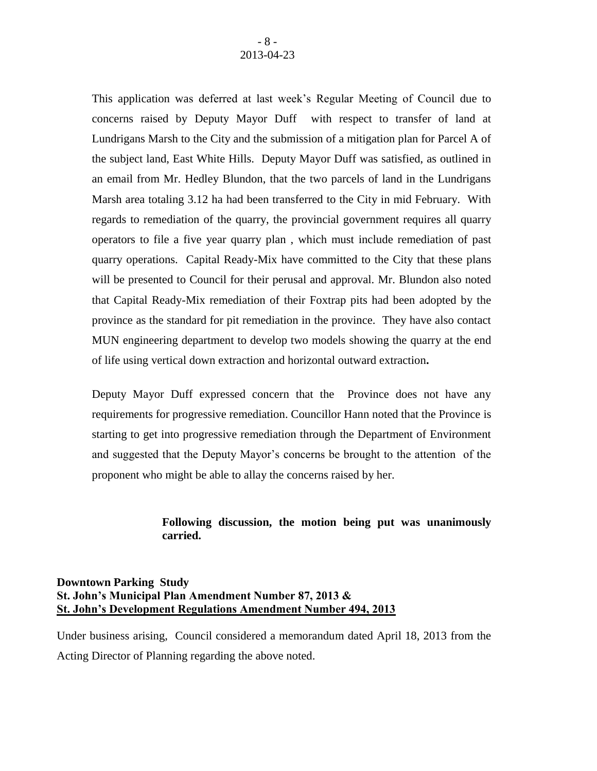This application was deferred at last week's Regular Meeting of Council due to concerns raised by Deputy Mayor Duff with respect to transfer of land at Lundrigans Marsh to the City and the submission of a mitigation plan for Parcel A of the subject land, East White Hills. Deputy Mayor Duff was satisfied, as outlined in an email from Mr. Hedley Blundon, that the two parcels of land in the Lundrigans Marsh area totaling 3.12 ha had been transferred to the City in mid February. With regards to remediation of the quarry, the provincial government requires all quarry operators to file a five year quarry plan , which must include remediation of past quarry operations. Capital Ready-Mix have committed to the City that these plans will be presented to Council for their perusal and approval. Mr. Blundon also noted that Capital Ready-Mix remediation of their Foxtrap pits had been adopted by the province as the standard for pit remediation in the province. They have also contact MUN engineering department to develop two models showing the quarry at the end of life using vertical down extraction and horizontal outward extraction**.** 

Deputy Mayor Duff expressed concern that the Province does not have any requirements for progressive remediation. Councillor Hann noted that the Province is starting to get into progressive remediation through the Department of Environment and suggested that the Deputy Mayor's concerns be brought to the attention of the proponent who might be able to allay the concerns raised by her.

# **Following discussion, the motion being put was unanimously carried.**

# **Downtown Parking Study St. John's Municipal Plan Amendment Number 87, 2013 & St. John's Development Regulations Amendment Number 494, 2013**

Under business arising, Council considered a memorandum dated April 18, 2013 from the Acting Director of Planning regarding the above noted.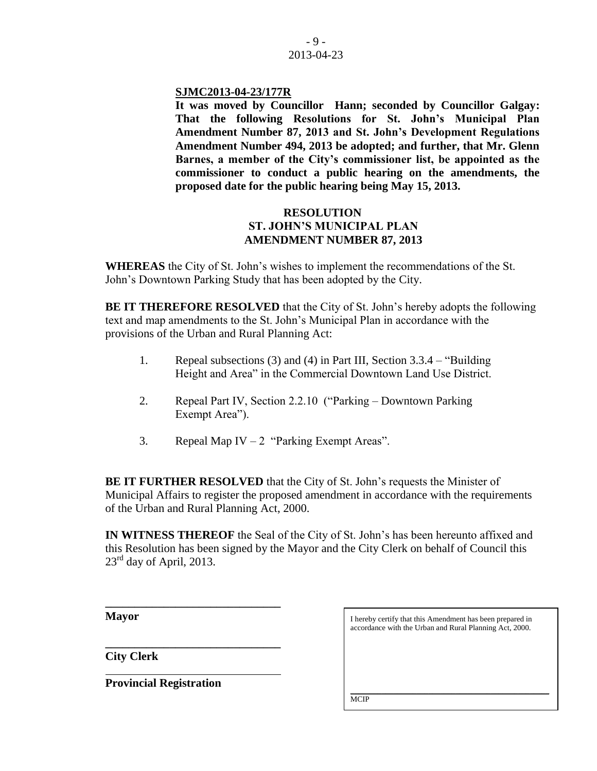### **SJMC2013-04-23/177R**

**It was moved by Councillor Hann; seconded by Councillor Galgay: That the following Resolutions for St. John's Municipal Plan Amendment Number 87, 2013 and St. John's Development Regulations Amendment Number 494, 2013 be adopted; and further, that Mr. Glenn Barnes, a member of the City's commissioner list, be appointed as the commissioner to conduct a public hearing on the amendments, the proposed date for the public hearing being May 15, 2013.** 

# **RESOLUTION ST. JOHN'S MUNICIPAL PLAN AMENDMENT NUMBER 87, 2013**

**WHEREAS** the City of St. John's wishes to implement the recommendations of the St. John's Downtown Parking Study that has been adopted by the City.

**BE IT THEREFORE RESOLVED** that the City of St. John's hereby adopts the following text and map amendments to the St. John's Municipal Plan in accordance with the provisions of the Urban and Rural Planning Act:

- 1. Repeal subsections (3) and (4) in Part III, Section 3.3.4 "Building Height and Area" in the Commercial Downtown Land Use District.
- 2. Repeal Part IV, Section 2.2.10 ("Parking Downtown Parking Exempt Area").
- 3. Repeal Map IV 2 "Parking Exempt Areas".

**BE IT FURTHER RESOLVED** that the City of St. John's requests the Minister of Municipal Affairs to register the proposed amendment in accordance with the requirements of the Urban and Rural Planning Act, 2000.

**IN WITNESS THEREOF** the Seal of the City of St. John's has been hereunto affixed and this Resolution has been signed by the Mayor and the City Clerk on behalf of Council this  $23^{\text{rd}}$  day of April, 2013.

**Mayor**

**\_\_\_\_\_\_\_\_\_\_\_\_\_\_\_\_\_\_\_\_\_\_\_\_\_\_\_\_\_\_ City Clerk**

**Provincial Registration**

**\_\_\_\_\_\_\_\_\_\_\_\_\_\_\_\_\_\_\_\_\_\_\_\_\_\_\_\_\_\_**

I hereby certify that this Amendment has been prepared in accordance with the Urban and Rural Planning Act, 2000.

\_\_\_\_\_\_\_\_\_\_\_\_\_\_\_\_\_\_\_\_\_\_\_\_\_\_\_\_\_\_\_\_\_\_\_\_\_\_\_\_\_\_\_\_\_\_\_\_\_\_\_ **MCIP**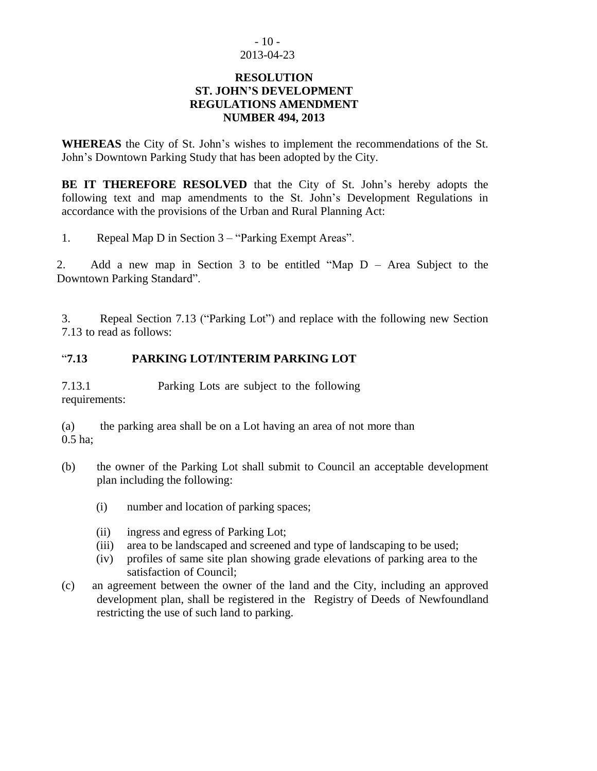## $-10-$ 2013-04-23

### **RESOLUTION ST. JOHN'S DEVELOPMENT REGULATIONS AMENDMENT NUMBER 494, 2013**

**WHEREAS** the City of St. John's wishes to implement the recommendations of the St. John's Downtown Parking Study that has been adopted by the City.

**BE IT THEREFORE RESOLVED** that the City of St. John's hereby adopts the following text and map amendments to the St. John's Development Regulations in accordance with the provisions of the Urban and Rural Planning Act:

1. Repeal Map D in Section 3 – "Parking Exempt Areas".

2. Add a new map in Section 3 to be entitled "Map D – Area Subject to the Downtown Parking Standard".

3. Repeal Section 7.13 ("Parking Lot") and replace with the following new Section 7.13 to read as follows:

# "**7.13 PARKING LOT/INTERIM PARKING LOT**

7.13.1 Parking Lots are subject to the following requirements:

(a) the parking area shall be on a Lot having an area of not more than 0.5 ha;

- (b) the owner of the Parking Lot shall submit to Council an acceptable development plan including the following:
	- (i) number and location of parking spaces;
	- (ii) ingress and egress of Parking Lot;
	- (iii) area to be landscaped and screened and type of landscaping to be used;
	- (iv) profiles of same site plan showing grade elevations of parking area to the satisfaction of Council;
- (c) an agreement between the owner of the land and the City, including an approved development plan, shall be registered in the Registry of Deeds of Newfoundland restricting the use of such land to parking.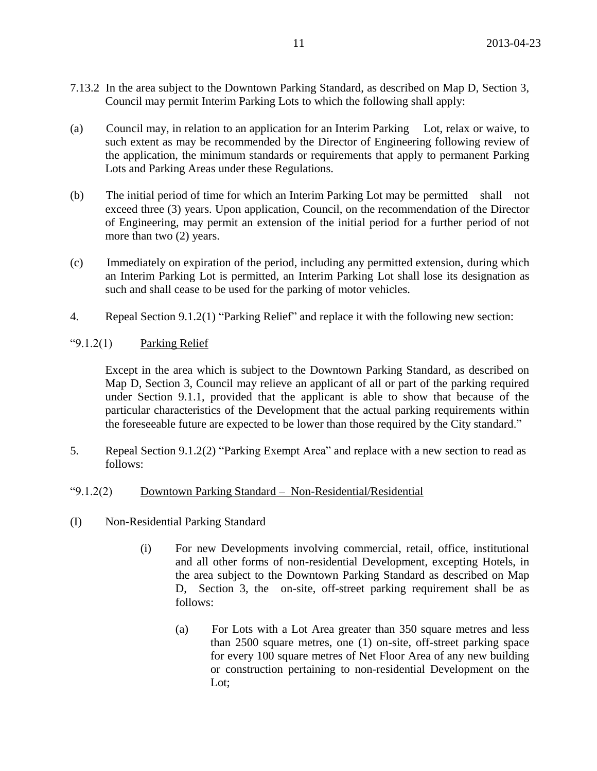- 7.13.2 In the area subject to the Downtown Parking Standard, as described on Map D, Section 3, Council may permit Interim Parking Lots to which the following shall apply:
- (a) Council may, in relation to an application for an Interim Parking Lot, relax or waive, to such extent as may be recommended by the Director of Engineering following review of the application, the minimum standards or requirements that apply to permanent Parking Lots and Parking Areas under these Regulations.
- (b) The initial period of time for which an Interim Parking Lot may be permitted shall not exceed three (3) years. Upon application, Council, on the recommendation of the Director of Engineering, may permit an extension of the initial period for a further period of not more than two (2) years.
- (c) Immediately on expiration of the period, including any permitted extension, during which an Interim Parking Lot is permitted, an Interim Parking Lot shall lose its designation as such and shall cease to be used for the parking of motor vehicles.
- 4. Repeal Section 9.1.2(1) "Parking Relief" and replace it with the following new section:
- " $9.1.2(1)$  Parking Relief

Except in the area which is subject to the Downtown Parking Standard, as described on Map D, Section 3, Council may relieve an applicant of all or part of the parking required under Section 9.1.1, provided that the applicant is able to show that because of the particular characteristics of the Development that the actual parking requirements within the foreseeable future are expected to be lower than those required by the City standard."

5. Repeal Section 9.1.2(2) "Parking Exempt Area" and replace with a new section to read as follows:

## "9.1.2(2) Downtown Parking Standard – Non-Residential/Residential

- (I) Non-Residential Parking Standard
	- (i) For new Developments involving commercial, retail, office, institutional and all other forms of non-residential Development, excepting Hotels, in the area subject to the Downtown Parking Standard as described on Map D, Section 3, the on-site, off-street parking requirement shall be as follows:
		- (a) For Lots with a Lot Area greater than 350 square metres and less than 2500 square metres, one (1) on-site, off-street parking space for every 100 square metres of Net Floor Area of any new building or construction pertaining to non-residential Development on the Lot;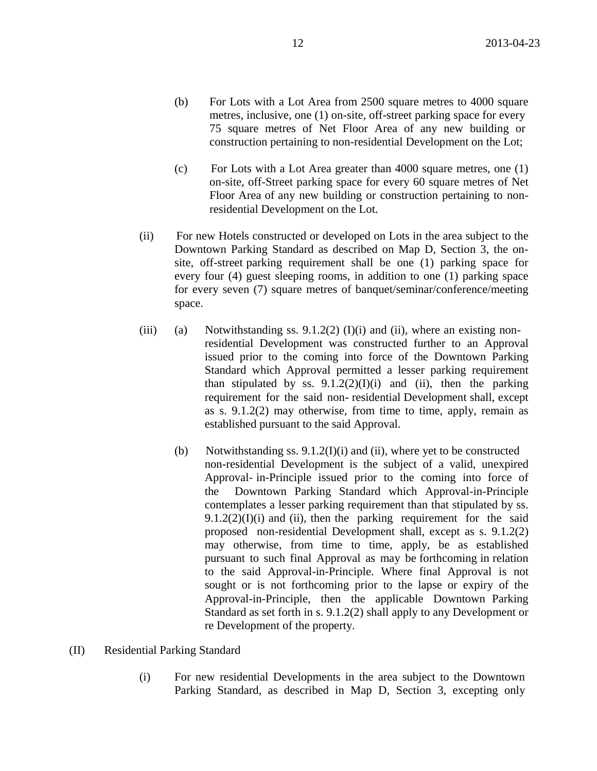- (b) For Lots with a Lot Area from 2500 square metres to 4000 square metres, inclusive, one (1) on-site, off-street parking space for every 75 square metres of Net Floor Area of any new building or construction pertaining to non-residential Development on the Lot;
- (c) For Lots with a Lot Area greater than 4000 square metres, one (1) on-site, off-Street parking space for every 60 square metres of Net Floor Area of any new building or construction pertaining to nonresidential Development on the Lot.
- (ii) For new Hotels constructed or developed on Lots in the area subject to the Downtown Parking Standard as described on Map D, Section 3, the onsite, off-street parking requirement shall be one (1) parking space for every four (4) guest sleeping rooms, in addition to one (1) parking space for every seven (7) square metres of banquet/seminar/conference/meeting space.
- (iii) (a) Notwithstanding ss.  $9.1.2(2)$  (I)(i) and (ii), where an existing nonresidential Development was constructed further to an Approval issued prior to the coming into force of the Downtown Parking Standard which Approval permitted a lesser parking requirement than stipulated by ss.  $9.1.2(2)(I)(i)$  and (ii), then the parking requirement for the said non- residential Development shall, except as s. 9.1.2(2) may otherwise, from time to time, apply, remain as established pursuant to the said Approval.
	- (b) Notwithstanding ss.  $9.1.2(I)(i)$  and (ii), where yet to be constructed non-residential Development is the subject of a valid, unexpired Approval- in-Principle issued prior to the coming into force of the Downtown Parking Standard which Approval-in-Principle contemplates a lesser parking requirement than that stipulated by ss.  $9.1.2(2)(I)(i)$  and (ii), then the parking requirement for the said proposed non-residential Development shall, except as s. 9.1.2(2) may otherwise, from time to time, apply, be as established pursuant to such final Approval as may be forthcoming in relation to the said Approval-in-Principle. Where final Approval is not sought or is not forthcoming prior to the lapse or expiry of the Approval-in-Principle, then the applicable Downtown Parking Standard as set forth in s. 9.1.2(2) shall apply to any Development or re Development of the property.
- (II) Residential Parking Standard
	- (i) For new residential Developments in the area subject to the Downtown Parking Standard, as described in Map D, Section 3, excepting only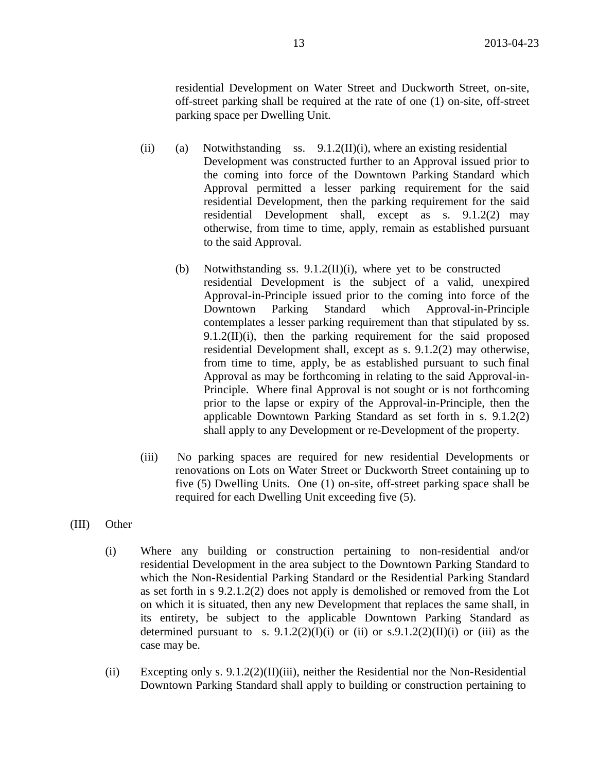residential Development on Water Street and Duckworth Street, on-site, off-street parking shall be required at the rate of one (1) on-site, off-street parking space per Dwelling Unit.

- (ii) (a) Notwithstanding ss.  $9.1.2(II)(i)$ , where an existing residential Development was constructed further to an Approval issued prior to the coming into force of the Downtown Parking Standard which Approval permitted a lesser parking requirement for the said residential Development, then the parking requirement for the said residential Development shall, except as s. 9.1.2(2) may otherwise, from time to time, apply, remain as established pursuant to the said Approval.
	- (b) Notwithstanding ss. 9.1.2(II)(i), where yet to be constructed residential Development is the subject of a valid, unexpired Approval-in-Principle issued prior to the coming into force of the Downtown Parking Standard which Approval-in-Principle contemplates a lesser parking requirement than that stipulated by ss. 9.1.2(II)(i), then the parking requirement for the said proposed residential Development shall, except as s. 9.1.2(2) may otherwise, from time to time, apply, be as established pursuant to such final Approval as may be forthcoming in relating to the said Approval-in-Principle. Where final Approval is not sought or is not forthcoming prior to the lapse or expiry of the Approval-in-Principle, then the applicable Downtown Parking Standard as set forth in s. 9.1.2(2) shall apply to any Development or re-Development of the property.
- (iii) No parking spaces are required for new residential Developments or renovations on Lots on Water Street or Duckworth Street containing up to five (5) Dwelling Units. One (1) on-site, off-street parking space shall be required for each Dwelling Unit exceeding five (5).
- (III) Other
	- (i) Where any building or construction pertaining to non-residential and/or residential Development in the area subject to the Downtown Parking Standard to which the Non-Residential Parking Standard or the Residential Parking Standard as set forth in s 9.2.1.2(2) does not apply is demolished or removed from the Lot on which it is situated, then any new Development that replaces the same shall, in its entirety, be subject to the applicable Downtown Parking Standard as determined pursuant to s.  $9.1.2(2)(I)(i)$  or (ii) or s. $9.1.2(2)(II)(i)$  or (iii) as the case may be.
	- (ii) Excepting only s.  $9.1.2(2)(II)(iii)$ , neither the Residential nor the Non-Residential Downtown Parking Standard shall apply to building or construction pertaining to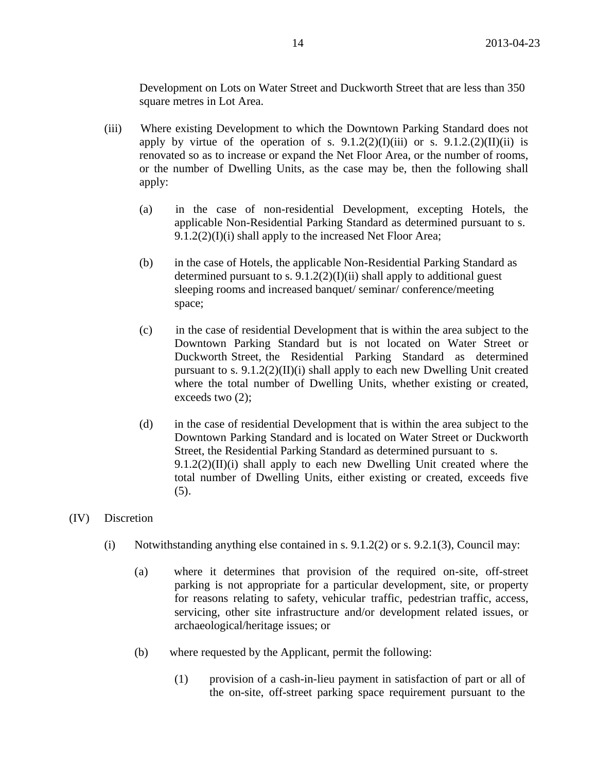Development on Lots on Water Street and Duckworth Street that are less than 350 square metres in Lot Area.

- (iii) Where existing Development to which the Downtown Parking Standard does not apply by virtue of the operation of s.  $9.1.2(2)(I)(iii)$  or s.  $9.1.2(2)(II)(ii)$  is renovated so as to increase or expand the Net Floor Area, or the number of rooms, or the number of Dwelling Units, as the case may be, then the following shall apply:
	- (a) in the case of non-residential Development, excepting Hotels, the applicable Non-Residential Parking Standard as determined pursuant to s.  $9.1.2(2)(I)(i)$  shall apply to the increased Net Floor Area;
	- (b) in the case of Hotels, the applicable Non-Residential Parking Standard as determined pursuant to s.  $9.1.2(2)(I)(ii)$  shall apply to additional guest sleeping rooms and increased banquet/ seminar/ conference/meeting space;
	- (c) in the case of residential Development that is within the area subject to the Downtown Parking Standard but is not located on Water Street or Duckworth Street, the Residential Parking Standard as determined pursuant to s.  $9.1.2(2)(II)(i)$  shall apply to each new Dwelling Unit created where the total number of Dwelling Units, whether existing or created, exceeds two  $(2)$ ;
	- (d) in the case of residential Development that is within the area subject to the Downtown Parking Standard and is located on Water Street or Duckworth Street, the Residential Parking Standard as determined pursuant to s.  $9.1.2(2)(II)(i)$  shall apply to each new Dwelling Unit created where the total number of Dwelling Units, either existing or created, exceeds five (5).

## (IV) Discretion

- (i) Notwithstanding anything else contained in s.  $9.1.2(2)$  or s.  $9.2.1(3)$ , Council may:
	- (a) where it determines that provision of the required on-site, off-street parking is not appropriate for a particular development, site, or property for reasons relating to safety, vehicular traffic, pedestrian traffic, access, servicing, other site infrastructure and/or development related issues, or archaeological/heritage issues; or
	- (b) where requested by the Applicant, permit the following:
		- (1) provision of a cash-in-lieu payment in satisfaction of part or all of the on-site, off-street parking space requirement pursuant to the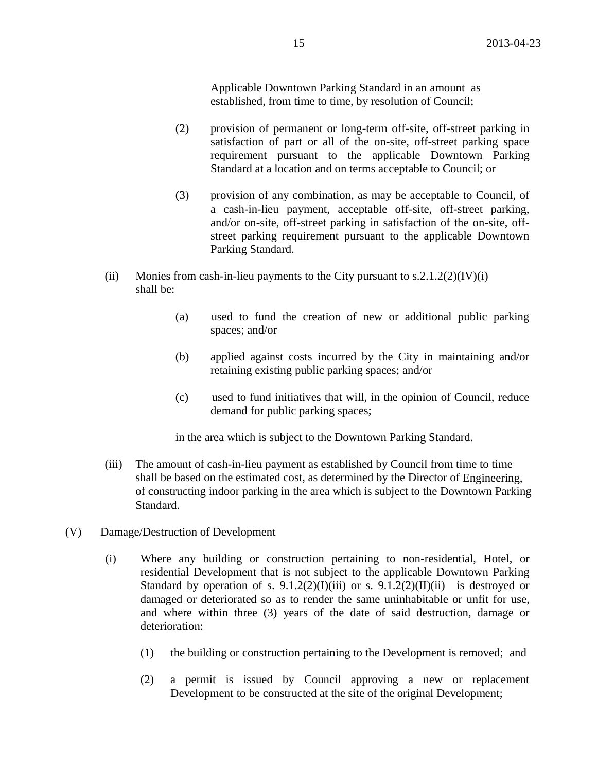Applicable Downtown Parking Standard in an amount as established, from time to time, by resolution of Council;

- (2) provision of permanent or long-term off-site, off-street parking in satisfaction of part or all of the on-site, off-street parking space requirement pursuant to the applicable Downtown Parking Standard at a location and on terms acceptable to Council; or
- (3) provision of any combination, as may be acceptable to Council, of a cash-in-lieu payment, acceptable off-site, off-street parking, and/or on-site, off-street parking in satisfaction of the on-site, offstreet parking requirement pursuant to the applicable Downtown Parking Standard.
- (ii) Monies from cash-in-lieu payments to the City pursuant to  $s.2.1.2(2)(IV)(i)$ shall be:
	- (a) used to fund the creation of new or additional public parking spaces; and/or
	- (b) applied against costs incurred by the City in maintaining and/or retaining existing public parking spaces; and/or
	- (c) used to fund initiatives that will, in the opinion of Council, reduce demand for public parking spaces;

in the area which is subject to the Downtown Parking Standard.

- (iii) The amount of cash-in-lieu payment as established by Council from time to time shall be based on the estimated cost, as determined by the Director of Engineering, of constructing indoor parking in the area which is subject to the Downtown Parking Standard.
- (V) Damage/Destruction of Development
	- (i) Where any building or construction pertaining to non-residential, Hotel, or residential Development that is not subject to the applicable Downtown Parking Standard by operation of s.  $9.1.2(2)(I)(iii)$  or s.  $9.1.2(2)(II)(ii)$  is destroyed or damaged or deteriorated so as to render the same uninhabitable or unfit for use, and where within three (3) years of the date of said destruction, damage or deterioration:
		- (1) the building or construction pertaining to the Development is removed; and
		- (2) a permit is issued by Council approving a new or replacement Development to be constructed at the site of the original Development;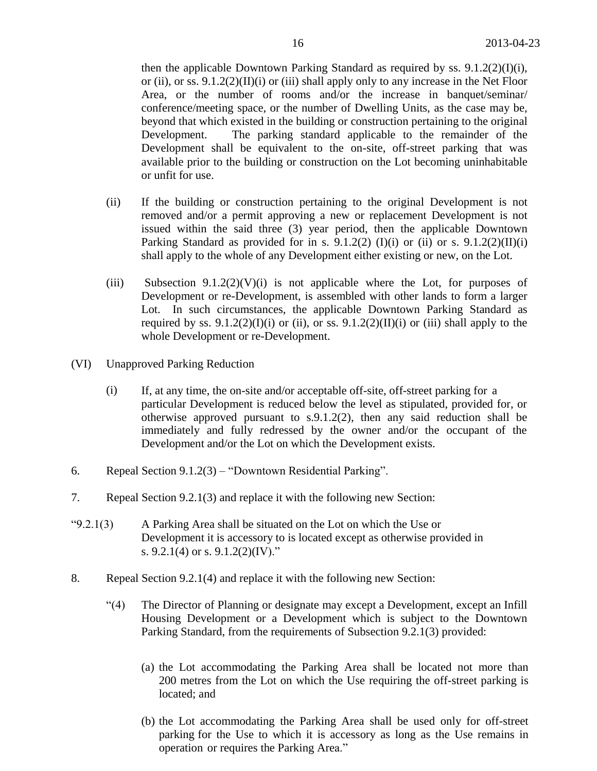then the applicable Downtown Parking Standard as required by ss. 9.1.2(2)(I)(i), or (ii), or ss.  $9.1.2(2)(II)(i)$  or (iii) shall apply only to any increase in the Net Floor Area, or the number of rooms and/or the increase in banquet/seminar/ conference/meeting space, or the number of Dwelling Units, as the case may be, beyond that which existed in the building or construction pertaining to the original Development. The parking standard applicable to the remainder of the Development shall be equivalent to the on-site, off-street parking that was available prior to the building or construction on the Lot becoming uninhabitable or unfit for use.

- (ii) If the building or construction pertaining to the original Development is not removed and/or a permit approving a new or replacement Development is not issued within the said three (3) year period, then the applicable Downtown Parking Standard as provided for in s. 9.1.2(2) (I)(i) or (ii) or s. 9.1.2(2)(II)(i) shall apply to the whole of any Development either existing or new, on the Lot.
- (iii) Subsection  $9.1.2(2)(V)(i)$  is not applicable where the Lot, for purposes of Development or re-Development, is assembled with other lands to form a larger Lot. In such circumstances, the applicable Downtown Parking Standard as required by ss.  $9.1.2(2)(I)(i)$  or (ii), or ss.  $9.1.2(2)(II)(i)$  or (iii) shall apply to the whole Development or re-Development.
- (VI) Unapproved Parking Reduction
	- (i) If, at any time, the on-site and/or acceptable off-site, off-street parking for a particular Development is reduced below the level as stipulated, provided for, or otherwise approved pursuant to s.9.1.2(2), then any said reduction shall be immediately and fully redressed by the owner and/or the occupant of the Development and/or the Lot on which the Development exists.
- 6. Repeal Section 9.1.2(3) "Downtown Residential Parking".
- 7. Repeal Section 9.2.1(3) and replace it with the following new Section:
- " $9.2.1(3)$  A Parking Area shall be situated on the Lot on which the Use or Development it is accessory to is located except as otherwise provided in s. 9.2.1(4) or s. 9.1.2(2)(IV)."
- 8. Repeal Section 9.2.1(4) and replace it with the following new Section:
	- "(4) The Director of Planning or designate may except a Development, except an Infill Housing Development or a Development which is subject to the Downtown Parking Standard, from the requirements of Subsection 9.2.1(3) provided:
		- (a) the Lot accommodating the Parking Area shall be located not more than 200 metres from the Lot on which the Use requiring the off-street parking is located; and
		- (b) the Lot accommodating the Parking Area shall be used only for off-street parking for the Use to which it is accessory as long as the Use remains in operation or requires the Parking Area."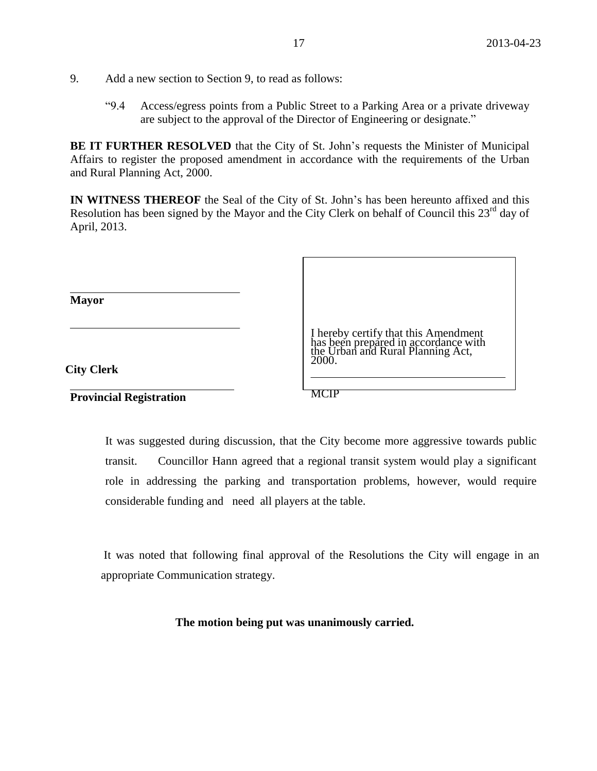- 9. Add a new section to Section 9, to read as follows:
	- "9.4 Access/egress points from a Public Street to a Parking Area or a private driveway are subject to the approval of the Director of Engineering or designate."

**BE IT FURTHER RESOLVED** that the City of St. John's requests the Minister of Municipal Affairs to register the proposed amendment in accordance with the requirements of the Urban and Rural Planning Act, 2000.

**IN WITNESS THEREOF** the Seal of the City of St. John's has been hereunto affixed and this Resolution has been signed by the Mayor and the City Clerk on behalf of Council this  $23<sup>rd</sup>$  day of April, 2013.

| <b>Mayor</b>                   |                                                                                                                            |
|--------------------------------|----------------------------------------------------------------------------------------------------------------------------|
| <b>City Clerk</b>              | I hereby certify that this Amendment<br>has been prepared in accordance with<br>the Urban and Rural Planning Act,<br>2000. |
| <b>Provincial Registration</b> |                                                                                                                            |

It was suggested during discussion, that the City become more aggressive towards public transit. Councillor Hann agreed that a regional transit system would play a significant role in addressing the parking and transportation problems, however, would require considerable funding and need all players at the table.

It was noted that following final approval of the Resolutions the City will engage in an appropriate Communication strategy.

#### **The motion being put was unanimously carried.**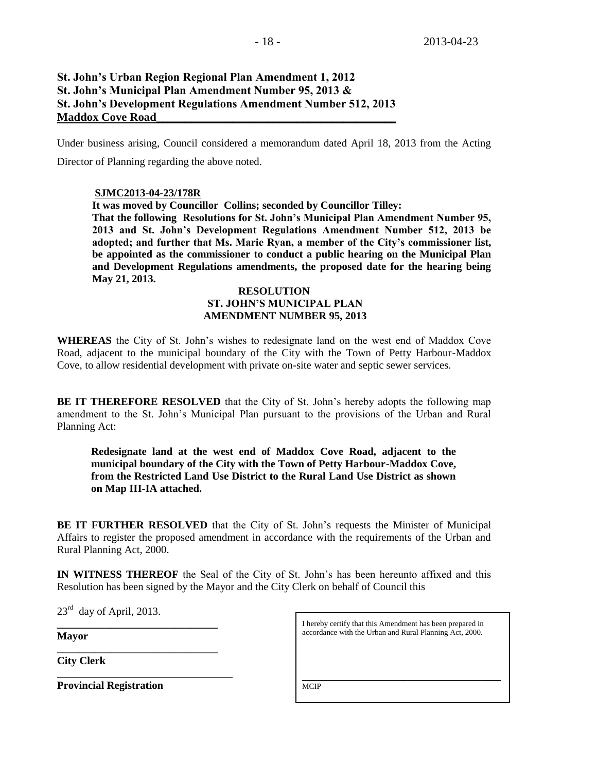# **St. John's Urban Region Regional Plan Amendment 1, 2012 St. John's Municipal Plan Amendment Number 95, 2013 & St. John's Development Regulations Amendment Number 512, 2013 Maddox Cove Road\_\_\_\_\_\_\_\_\_\_\_\_\_\_\_\_\_\_\_\_\_\_\_\_\_\_\_\_\_\_\_\_\_\_\_\_\_\_\_\_\_**

Under business arising, Council considered a memorandum dated April 18, 2013 from the Acting Director of Planning regarding the above noted.

#### **SJMC2013-04-23/178R**

**It was moved by Councillor Collins; seconded by Councillor Tilley: That the following Resolutions for St. John's Municipal Plan Amendment Number 95, 2013 and St. John's Development Regulations Amendment Number 512, 2013 be adopted; and further that Ms. Marie Ryan, a member of the City's commissioner list, be appointed as the commissioner to conduct a public hearing on the Municipal Plan and Development Regulations amendments, the proposed date for the hearing being May 21, 2013.**

#### **RESOLUTION ST. JOHN'S MUNICIPAL PLAN AMENDMENT NUMBER 95, 2013**

**WHEREAS** the City of St. John's wishes to redesignate land on the west end of Maddox Cove Road, adjacent to the municipal boundary of the City with the Town of Petty Harbour-Maddox Cove, to allow residential development with private on-site water and septic sewer services.

**BE IT THEREFORE RESOLVED** that the City of St. John's hereby adopts the following map amendment to the St. John's Municipal Plan pursuant to the provisions of the Urban and Rural Planning Act:

**Redesignate land at the west end of Maddox Cove Road, adjacent to the municipal boundary of the City with the Town of Petty Harbour-Maddox Cove, from the Restricted Land Use District to the Rural Land Use District as shown on Map III-IA attached.**

**BE IT FURTHER RESOLVED** that the City of St. John's requests the Minister of Municipal Affairs to register the proposed amendment in accordance with the requirements of the Urban and Rural Planning Act, 2000.

**IN WITNESS THEREOF** the Seal of the City of St. John's has been hereunto affixed and this Resolution has been signed by the Mayor and the City Clerk on behalf of Council this

 $23<sup>rd</sup>$  day of April, 2013.

**\_\_\_\_\_\_\_\_\_\_\_\_\_\_\_\_\_\_\_\_\_\_\_\_\_\_\_\_\_\_**

**\_\_\_\_\_\_\_\_\_\_\_\_\_\_\_\_\_\_\_\_\_\_\_\_\_\_\_\_\_\_** 

**Mayor**

**City Clerk**

**Provincial Registration**

I hereby certify that this Amendment has been prepared in accordance with the Urban and Rural Planning Act, 2000.

 $\mathcal{L}_\text{max}$  and  $\mathcal{L}_\text{max}$  and  $\mathcal{L}_\text{max}$  and  $\mathcal{L}_\text{max}$  and  $\mathcal{L}_\text{max}$ 

**MCIP**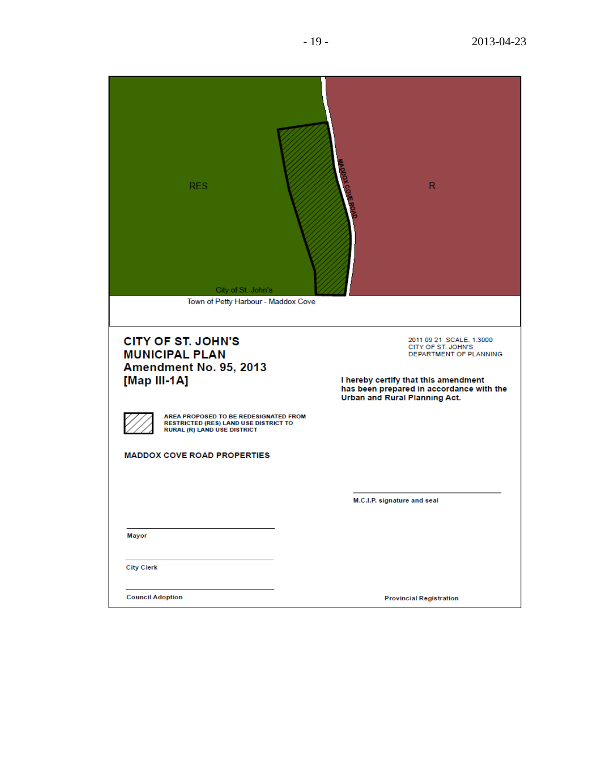| <b>RES</b><br>City of St. John's<br>Town of Petty Harbour - Maddox Cove                                                     | $\mathsf{R}$                                                                                                     |
|-----------------------------------------------------------------------------------------------------------------------------|------------------------------------------------------------------------------------------------------------------|
| <b>CITY OF ST. JOHN'S</b><br><b>MUNICIPAL PLAN</b><br>Amendment No. 95, 2013<br>[Map III-1A]                                | 2011 09 21 SCALE: 1:3000<br>CITY OF ST. JOHN'S<br>DEPARTMENT OF PLANNING<br>I hereby certify that this amendment |
|                                                                                                                             | has been prepared in accordance with the<br>Urban and Rural Planning Act.                                        |
| AREA PROPOSED TO BE REDESIGNATED FROM<br><b>RESTRICTED (RES) LAND USE DISTRICT TO</b><br><b>RURAL (R) LAND USE DISTRICT</b> |                                                                                                                  |
| <b>MADDOX COVE ROAD PROPERTIES</b>                                                                                          |                                                                                                                  |
|                                                                                                                             |                                                                                                                  |
|                                                                                                                             | M.C.I.P. signature and seal                                                                                      |
|                                                                                                                             |                                                                                                                  |
| Mayor                                                                                                                       |                                                                                                                  |
| <b>City Clerk</b>                                                                                                           |                                                                                                                  |
| <b>Council Adoption</b>                                                                                                     | <b>Provincial Registration</b>                                                                                   |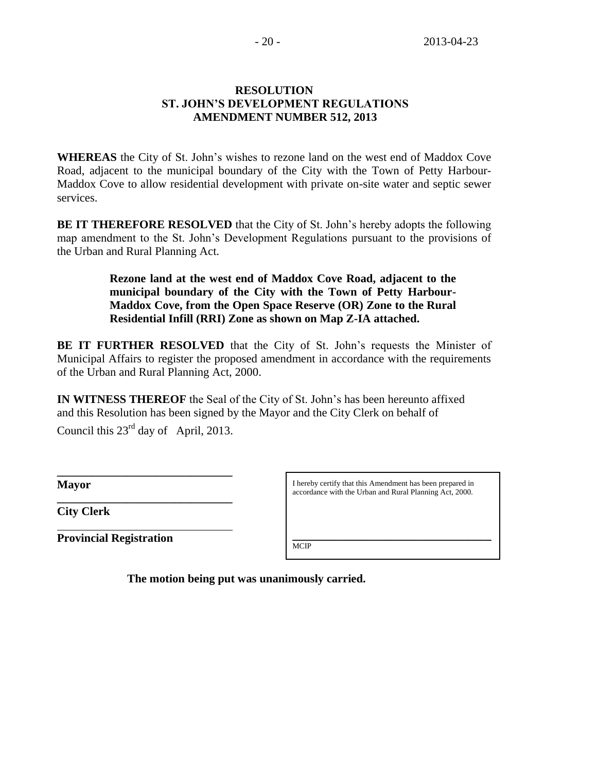# **RESOLUTION ST. JOHN'S DEVELOPMENT REGULATIONS AMENDMENT NUMBER 512, 2013**

**WHEREAS** the City of St. John's wishes to rezone land on the west end of Maddox Cove Road, adjacent to the municipal boundary of the City with the Town of Petty Harbour-Maddox Cove to allow residential development with private on-site water and septic sewer services.

**BE IT THEREFORE RESOLVED** that the City of St. John's hereby adopts the following map amendment to the St. John's Development Regulations pursuant to the provisions of the Urban and Rural Planning Act.

> **Rezone land at the west end of Maddox Cove Road, adjacent to the municipal boundary of the City with the Town of Petty Harbour-Maddox Cove, from the Open Space Reserve (OR) Zone to the Rural Residential Infill (RRI) Zone as shown on Map Z-IA attached.**

**BE IT FURTHER RESOLVED** that the City of St. John's requests the Minister of Municipal Affairs to register the proposed amendment in accordance with the requirements of the Urban and Rural Planning Act, 2000.

**IN WITNESS THEREOF** the Seal of the City of St. John's has been hereunto affixed and this Resolution has been signed by the Mayor and the City Clerk on behalf of

Council this  $23<sup>rd</sup>$  day of April, 2013.

**\_\_\_\_\_\_\_\_\_\_\_\_\_\_\_\_\_\_\_\_\_\_\_\_\_\_\_\_\_\_**

**\_\_\_\_\_\_\_\_\_\_\_\_\_\_\_\_\_\_\_\_\_\_\_\_\_\_\_\_\_\_** 

**Mayor**

**City Clerk**

**Provincial Registration**

I hereby certify that this Amendment has been prepared in accordance with the Urban and Rural Planning Act, 2000.

\_\_\_\_\_\_\_\_\_\_\_\_\_\_\_\_\_\_\_\_\_\_\_\_\_\_\_\_\_\_\_\_\_\_\_\_\_\_\_\_\_\_\_\_\_\_\_\_\_\_\_

**MCIP** 

**The motion being put was unanimously carried.**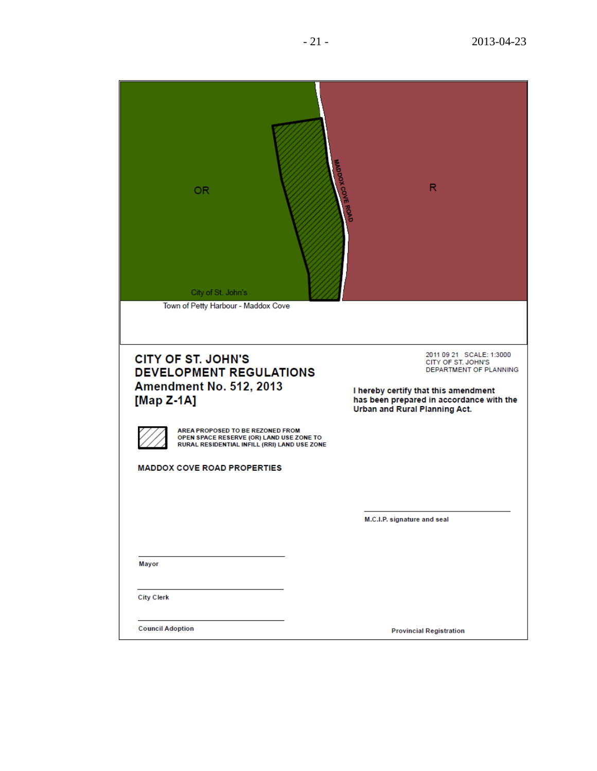| OR.<br>City of St. John's<br>Town of Petty Harbour - Maddox Cove                                                                                                                                                                                                              | <b>WADDOX COVE ROAD</b><br>R                                                                                                                                                                  |
|-------------------------------------------------------------------------------------------------------------------------------------------------------------------------------------------------------------------------------------------------------------------------------|-----------------------------------------------------------------------------------------------------------------------------------------------------------------------------------------------|
| <b>CITY OF ST. JOHN'S</b><br><b>DEVELOPMENT REGULATIONS</b><br>Amendment No. 512, 2013<br>[Map $Z-1A$ ]<br>AREA PROPOSED TO BE REZONED FROM<br>OPEN SPACE RESERVE (OR) LAND USE ZONE TO<br>RURAL RESIDENTIAL INFILL (RRI) LAND USE ZONE<br><b>MADDOX COVE ROAD PROPERTIES</b> | 2011 09 21 SCALE: 1:3000<br>CITY OF ST. JOHN'S<br>DEPARTMENT OF PLANNING<br>I hereby certify that this amendment<br>has been prepared in accordance with the<br>Urban and Rural Planning Act. |
| Mayor                                                                                                                                                                                                                                                                         | M.C.I.P. signature and seal                                                                                                                                                                   |
| <b>City Clerk</b>                                                                                                                                                                                                                                                             |                                                                                                                                                                                               |
| <b>Council Adoption</b>                                                                                                                                                                                                                                                       | <b>Provincial Registration</b>                                                                                                                                                                |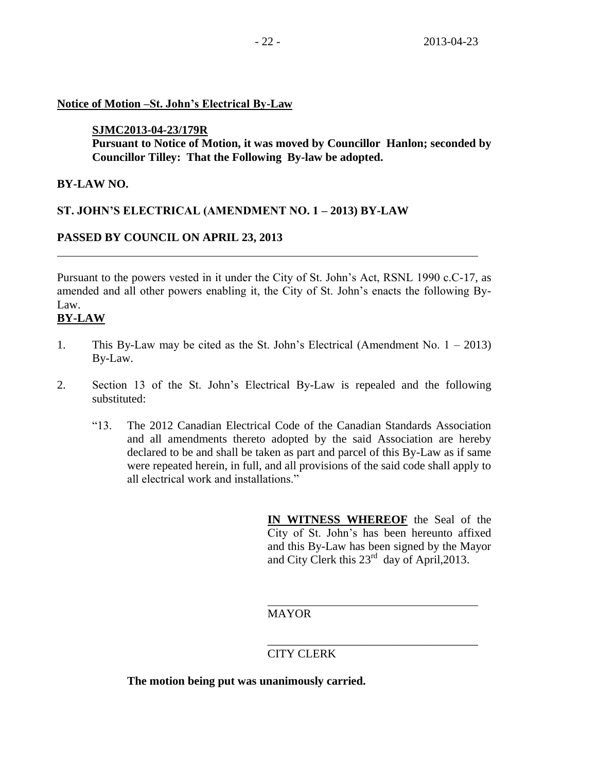## **Notice of Motion –St. John's Electrical By-Law**

## **SJMC2013-04-23/179R**

**Pursuant to Notice of Motion, it was moved by Councillor Hanlon; seconded by Councillor Tilley: That the Following By-law be adopted.**

## **BY-LAW NO.**

# **ST. JOHN'S ELECTRICAL (AMENDMENT NO. 1 – 2013) BY-LAW**

# **PASSED BY COUNCIL ON APRIL 23, 2013**

Pursuant to the powers vested in it under the City of St. John's Act, RSNL 1990 c.C-17, as amended and all other powers enabling it, the City of St. John's enacts the following By-Law.

# **BY-LAW**

- 1. This By-Law may be cited as the St. John's Electrical (Amendment No. 1 2013) By-Law.
- 2. Section 13 of the St. John's Electrical By-Law is repealed and the following substituted:
	- "13. The 2012 Canadian Electrical Code of the Canadian Standards Association and all amendments thereto adopted by the said Association are hereby declared to be and shall be taken as part and parcel of this By-Law as if same were repeated herein, in full, and all provisions of the said code shall apply to all electrical work and installations."

**IN WITNESS WHEREOF** the Seal of the City of St. John's has been hereunto affixed and this By-Law has been signed by the Mayor and City Clerk this 23<sup>rd</sup> day of April, 2013.

\_\_\_\_\_\_\_\_\_\_\_\_\_\_\_\_\_\_\_\_\_\_\_\_\_\_\_\_\_\_\_\_\_\_\_\_

## MAYOR

# CITY CLERK

**The motion being put was unanimously carried.**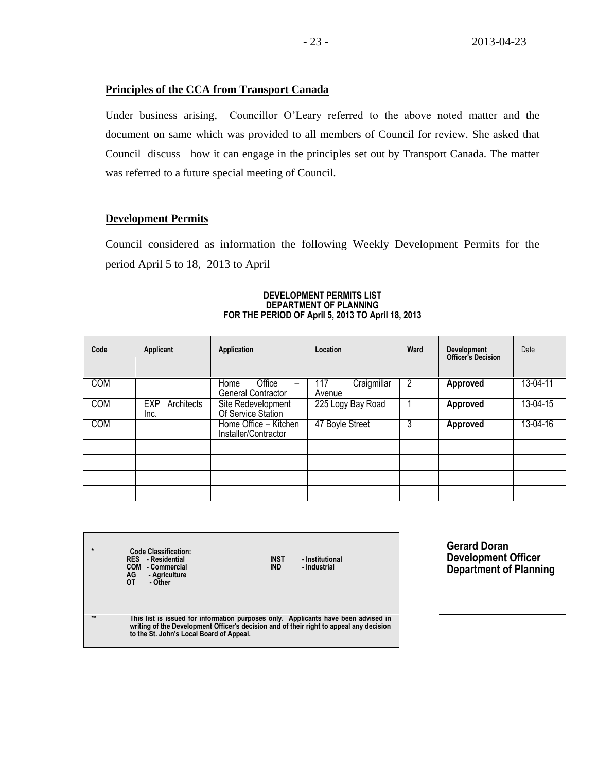#### **Principles of the CCA from Transport Canada**

Under business arising, Councillor O'Leary referred to the above noted matter and the document on same which was provided to all members of Council for review. She asked that Council discuss how it can engage in the principles set out by Transport Canada. The matter was referred to a future special meeting of Council.

#### **Development Permits**

Council considered as information the following Weekly Development Permits for the period April 5 to 18, 2013 to April

| Code       | Applicant                        | Application                                                      | Location                     | Ward | Development<br><b>Officer's Decision</b> | Date     |
|------------|----------------------------------|------------------------------------------------------------------|------------------------------|------|------------------------------------------|----------|
| <b>COM</b> |                                  | Office<br>Home<br>$\overline{\phantom{0}}$<br>General Contractor | Craigmillar<br>117<br>Avenue | 2    | Approved                                 | 13-04-11 |
| <b>COM</b> | Architects<br><b>EXP</b><br>Inc. | Site Redevelopment<br>Of Service Station                         | 225 Logy Bay Road            |      | <b>Approved</b>                          | 13-04-15 |
| <b>COM</b> |                                  | Home Office - Kitchen<br>Installer/Contractor                    | 47 Boyle Street              | 3    | <b>Approved</b>                          | 13-04-16 |
|            |                                  |                                                                  |                              |      |                                          |          |
|            |                                  |                                                                  |                              |      |                                          |          |

#### **DEVELOPMENT PERMITS LIST DEPARTMENT OF PLANNING FOR THE PERIOD OF April 5, 2013 TO April 18, 2013**

**\* Code Classification: RES - Residential INST - Institutional COM - Commercial IND - Industrial AG - Agriculture OT - Other \*\* This list is issued for information purposes only. Applicants have been advised in writing of the Development Officer's decision and of their right to appeal any decision to the St. John's Local Board of Appeal.**

**Gerard Doran Development Officer Department of Planning**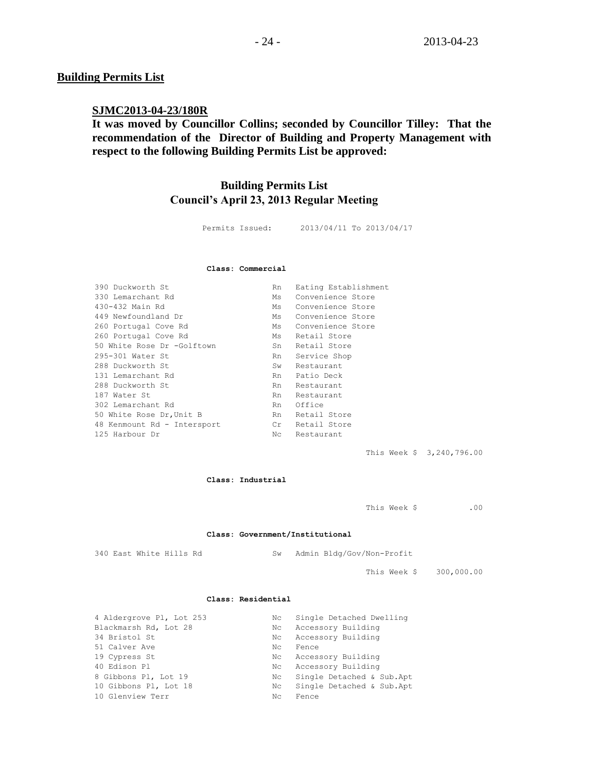#### **Building Permits List**

#### **SJMC2013-04-23/180R**

**It was moved by Councillor Collins; seconded by Councillor Tilley: That the recommendation of the Director of Building and Property Management with respect to the following Building Permits List be approved:** 

# **Building Permits List Council's April 23, 2013 Regular Meeting**

Permits Issued: 2013/04/11 To 2013/04/17

#### **Class: Commercial**

| Convenience Store<br>330 Lemarchant Rd<br>Ms<br>430-432 Main Rd<br>Convenience Store<br>Ms<br>449 Newfoundland Dr<br>Convenience Store<br>Ms<br>Convenience Store<br>260 Portugal Cove Rd<br>Ms<br>260 Portugal Cove Rd<br>Retail Store<br>Ms<br>50 White Rose Dr -Golftown<br>Retail Store<br>Sn<br>295-301 Water St<br>Service Shop<br>Rn<br>288 Duckworth St<br>Restaurant<br>Sw<br>131 Lemarchant Rd<br>Patio Deck<br>Rn<br>288 Duckworth St<br>Rn<br>Restaurant<br>187 Water St<br>Restaurant<br>Rn<br>302 Lemarchant Rd<br>Office<br>Rn<br>Retail Store<br>50 White Rose Dr, Unit B<br>Rn<br>Retail Store<br>48 Kenmount Rd - Intersport<br>Cr<br>125 Harbour Dr<br>Nc<br>Restaurant | 390 Duckworth St | Rn | Eating Establishment |
|--------------------------------------------------------------------------------------------------------------------------------------------------------------------------------------------------------------------------------------------------------------------------------------------------------------------------------------------------------------------------------------------------------------------------------------------------------------------------------------------------------------------------------------------------------------------------------------------------------------------------------------------------------------------------------------------|------------------|----|----------------------|
|                                                                                                                                                                                                                                                                                                                                                                                                                                                                                                                                                                                                                                                                                            |                  |    |                      |
|                                                                                                                                                                                                                                                                                                                                                                                                                                                                                                                                                                                                                                                                                            |                  |    |                      |
|                                                                                                                                                                                                                                                                                                                                                                                                                                                                                                                                                                                                                                                                                            |                  |    |                      |
|                                                                                                                                                                                                                                                                                                                                                                                                                                                                                                                                                                                                                                                                                            |                  |    |                      |
|                                                                                                                                                                                                                                                                                                                                                                                                                                                                                                                                                                                                                                                                                            |                  |    |                      |
|                                                                                                                                                                                                                                                                                                                                                                                                                                                                                                                                                                                                                                                                                            |                  |    |                      |
|                                                                                                                                                                                                                                                                                                                                                                                                                                                                                                                                                                                                                                                                                            |                  |    |                      |
|                                                                                                                                                                                                                                                                                                                                                                                                                                                                                                                                                                                                                                                                                            |                  |    |                      |
|                                                                                                                                                                                                                                                                                                                                                                                                                                                                                                                                                                                                                                                                                            |                  |    |                      |
|                                                                                                                                                                                                                                                                                                                                                                                                                                                                                                                                                                                                                                                                                            |                  |    |                      |
|                                                                                                                                                                                                                                                                                                                                                                                                                                                                                                                                                                                                                                                                                            |                  |    |                      |
|                                                                                                                                                                                                                                                                                                                                                                                                                                                                                                                                                                                                                                                                                            |                  |    |                      |
|                                                                                                                                                                                                                                                                                                                                                                                                                                                                                                                                                                                                                                                                                            |                  |    |                      |
|                                                                                                                                                                                                                                                                                                                                                                                                                                                                                                                                                                                                                                                                                            |                  |    |                      |
|                                                                                                                                                                                                                                                                                                                                                                                                                                                                                                                                                                                                                                                                                            |                  |    |                      |

This Week \$ 3,240,796.00

#### **Class: Industrial**

This Week \$ .00

#### **Class: Government/Institutional**

340 East White Hills Rd Sw Admin Bldg/Gov/Non-Profit

This Week \$ 300,000.00

#### **Class: Residential**

| 4 Aldergrove Pl, Lot 253 | Nc  | Single Detached Dwelling  |
|--------------------------|-----|---------------------------|
| Blackmarsh Rd, Lot 28    | Nc  | Accessory Building        |
| 34 Bristol St            | Nc  | Accessory Building        |
| 51 Calver Ave            | Nc. | Fence                     |
| 19 Cypress St            | Nc  | Accessory Building        |
| 40 Edison Pl             | Nc  | Accessory Building        |
| 8 Gibbons Pl, Lot 19     | Nс  | Single Detached & Sub.Apt |
| 10 Gibbons Pl, Lot 18    | Nc  | Single Detached & Sub.Apt |
| 10 Glenview Terr         | Nc. | Fence                     |
|                          |     |                           |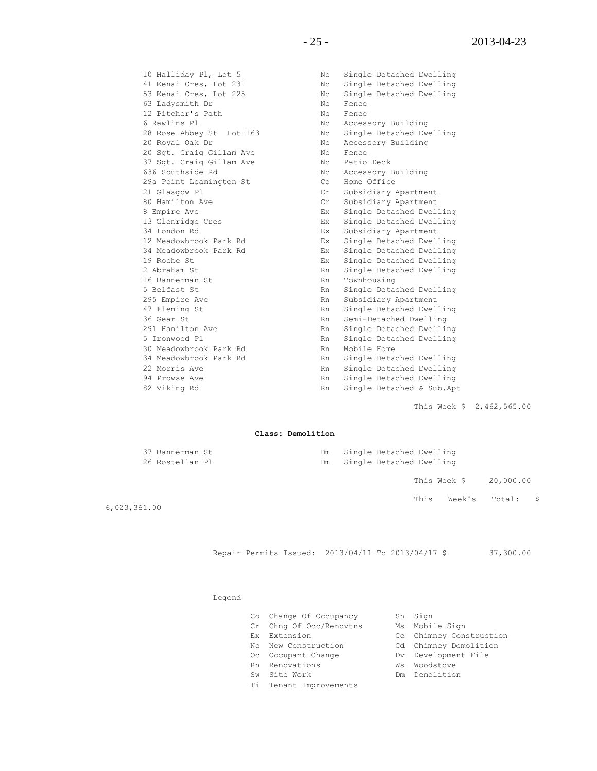63 Ladysmith Dr Nc Fence 12 Pitcher's Path Nc Fence 6 Rawlins Pl **No. 1988** Nc Accessory Building 20 Royal Oak Dr Nc Accessory Building 20 Sgt. Craig Gillam Ave No Nc Fence 37 Sgt. Craig Gillam Ave Nc Patio Deck 636 Southside Rd No. 2006 No. 2010 No. 2010 No. 2010 No. 2010 No. 2010 No. 2010 No. 2010 No. 2010 No 29a Point Leamington St Co Home Office 21 Glasgow Pl<br>
80 Hamilton Ave Cr Subsidiary Apartment<br>
8 Empire Ave Cr Subsidiary Apartment<br>
8 Empire Ave Cr Single Detached Dwel 16 Bannerman St<br>
Rn Townhousing<br>
Rn Cityle Ratio 30 Meadowbrook Park Rd Rn Rn Mobile Home

10 Halliday Pl, Lot 5 Nc Single Detached Dwelling 41 Kenai Cres, Lot 231 Nc Single Detached Dwelling 53 Kenai Cres, Lot 225 Nc Single Detached Dwelling 28 Rose Abbey St Lot 163 Nc Single Detached Dwelling 21 Glasgow Pl Cr Subsidiary Apartment 8 Empire Ave Ex Single Detached Dwelling 13 Glenridge Cres Ex Single Detached Dwelling 34 London Rd Ex Subsidiary Apartment 12 Meadowbrook Park Rd Ex Single Detached Dwelling 34 Meadowbrook Park Rd Ex Single Detached Dwelling 19 Roche St Ex Single Detached Dwelling 2 Abraham St Rn Single Detached Dwelling 5 Belfast St Rn Single Detached Dwelling Rn Subsidiary Apartment Rn Single Detached Dwelling 36 Gear St Rn Semi-Detached Dwelling 291 Ramilton Single Detached Dwelling<br>291 Single Detached Dwelling 5 Ironwood Pl **Rn** Single Detached Dwelling 34 Meadowbrook Park Rd Rn Single Detached Dwelling 22 Morris Ave **Rn** Single Detached Dwelling 94 Prowse Ave **Rn** Single Detached Dwelling 82 Viking Rd **Rn** Single Detached & Sub.Apt

This Week \$ 2,462,565.00

#### **Class: Demolition**

|   | 37 Bannerman St<br>26 Rostellan Pl | Dm<br>Dm | Single Detached Dwelling<br>Single Detached Dwelling |      |                       |  |
|---|------------------------------------|----------|------------------------------------------------------|------|-----------------------|--|
|   |                                    |          |                                                      |      | This Week \$20,000.00 |  |
| . |                                    |          |                                                      | This | Week's Total: \$      |  |

6,023,361.00

Repair Permits Issued: 2013/04/11 To 2013/04/17 \$ 37,300.00

#### Legend

- Co Change Of Occupancy Sn Sign
- Cr Chng Of Occ/Renovtns Ms Mobile Sign
- 
- 
- Oc Occupant Change The Dv Development File
- Rn Renovations **William Warehouse** Wis Woodstove
- Sw Site Work **Demolition**
- Ti Tenant Improvements
- 
- 
- Ex Extension Cc Chimney Construction
- Nc New Construction Cd Chimney Demolition
	-
	-
	-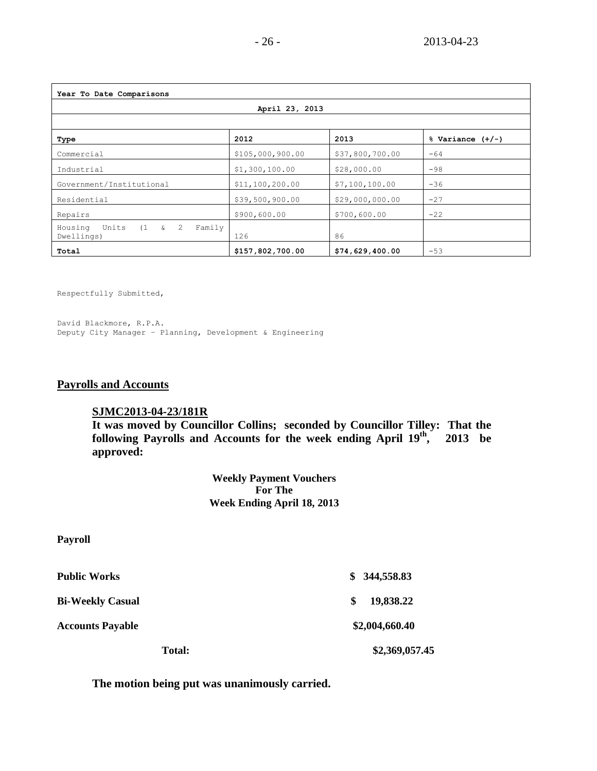| Year To Date Comparisons                                           |                  |                 |       |  |  |  |  |
|--------------------------------------------------------------------|------------------|-----------------|-------|--|--|--|--|
| April 23, 2013                                                     |                  |                 |       |  |  |  |  |
|                                                                    |                  |                 |       |  |  |  |  |
| Commercial                                                         | \$105,000,900.00 | \$37,800,700.00 | $-64$ |  |  |  |  |
| Industrial                                                         | \$1,300,100.00   | \$28,000.00     | $-98$ |  |  |  |  |
| Government/Institutional                                           | \$11,100,200.00  | \$7,100,100.00  | $-36$ |  |  |  |  |
| Residential                                                        | \$39,500,900.00  | \$29,000,000.00 | $-27$ |  |  |  |  |
| Repairs                                                            | \$900,600.00     | \$700,600.00    | $-22$ |  |  |  |  |
| $(1 \quad \& \quad 2)$<br>Units<br>Family<br>Housing<br>Dwellings) | 126              | 86              |       |  |  |  |  |
| Total                                                              | \$157,802,700.00 | \$74,629,400.00 | $-53$ |  |  |  |  |

Respectfully Submitted,

David Blackmore, R.P.A. Deputy City Manager – Planning, Development & Engineering

### **Payrolls and Accounts**

#### **SJMC2013-04-23/181R**

**It was moved by Councillor Collins; seconded by Councillor Tilley: That the**  following Payrolls and Accounts for the week ending April  $19<sup>th</sup>$ **, 2013 be approved:** 

> **Weekly Payment Vouchers For The Week Ending April 18, 2013**

#### **Payroll**

| <b>Total:</b>           | \$2,369,057.45  |
|-------------------------|-----------------|
| <b>Accounts Payable</b> | \$2,004,660.40  |
| <b>Bi-Weekly Casual</b> | 19,838.22<br>-S |
| <b>Public Works</b>     | \$344,558.83    |

**The motion being put was unanimously carried.**